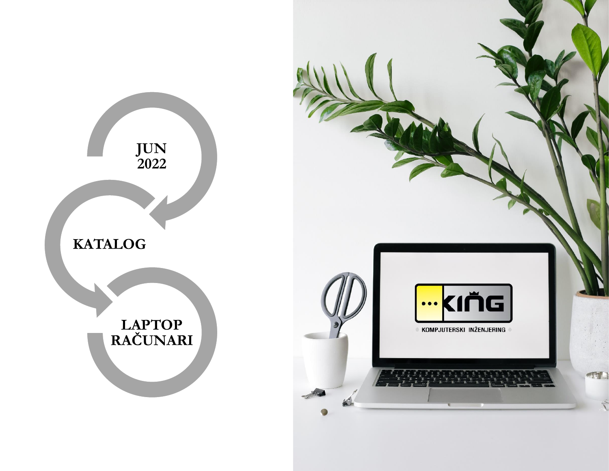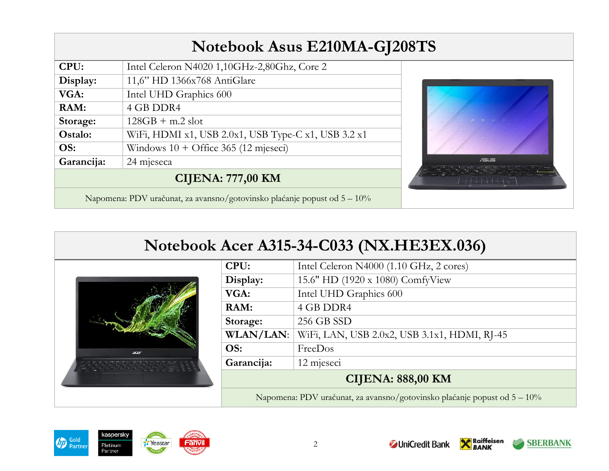|            | Notebook Asus E210MA-GJ208TS                                                |                                                                                                                          |
|------------|-----------------------------------------------------------------------------|--------------------------------------------------------------------------------------------------------------------------|
| CPU:       | Intel Celeron N4020 1,10GHz-2,80Ghz, Core 2                                 |                                                                                                                          |
| Display:   | 11,6" HD 1366x768 AntiGlare                                                 |                                                                                                                          |
| VGA:       | Intel UHD Graphics 600                                                      |                                                                                                                          |
| RAM:       | 4 GB DDR4                                                                   |                                                                                                                          |
| Storage:   | $128GB + m.2$ slot                                                          |                                                                                                                          |
| Ostalo:    | WiFi, HDMI x1, USB 2.0x1, USB Type-C x1, USB 3.2 x1                         |                                                                                                                          |
| OS:        | Windows $10 +$ Office 365 (12 mjeseci)                                      |                                                                                                                          |
| Garancija: | 24 mjeseca                                                                  | 后后                                                                                                                       |
|            | <b>CIJENA: 777,00 KM</b>                                                    | $5 - 7 - 7 - 7 - 7$<br>$\frac{1}{2}$ $\frac{1}{2}$ $\frac{1}{2}$ $\frac{1}{2}$ $\frac{1}{2}$ $\frac{1}{2}$ $\frac{1}{2}$ |
|            | Napomena: PDV uračunat, za avansno/gotovinsko plaćanje popust od $5 - 10\%$ |                                                                                                                          |

# **Notebook Acer A315-34-C033 (NX.HE3EX.036)**



| CPU:                     | Intel Celeron N4000 (1.10 GHz, 2 cores)      |
|--------------------------|----------------------------------------------|
| Display:                 | 15.6" HD (1920 x 1080) ComfyView             |
| VGA:                     | Intel UHD Graphics 600                       |
| RAM:                     | 4 GB DDR4                                    |
| Storage:                 | 256 GB SSD                                   |
| <b>WLAN/LAN:</b>         | WiFi, LAN, USB 2.0x2, USB 3.1x1, HDMI, RJ-45 |
| OS:                      | FreeDos                                      |
| Garancija:               | 12 mjeseci                                   |
| <b>CIJENA: 888,00 KM</b> |                                              |
|                          |                                              |

Napomena: PDV uračunat, za avansno/gotovinsko plaćanje popust od 5 – 10%



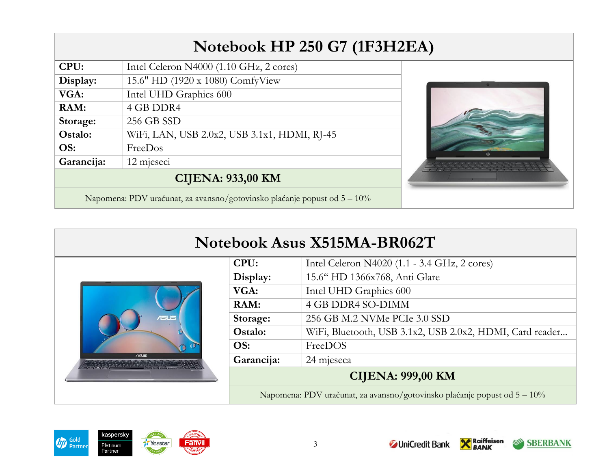| Notebook HP 250 G7 (1F3H2EA) |                                                                          |  |
|------------------------------|--------------------------------------------------------------------------|--|
| CPU:                         | Intel Celeron N4000 (1.10 GHz, 2 cores)                                  |  |
| Display:                     | 15.6" HD (1920 x 1080) ComfyView                                         |  |
| VGA:                         | Intel UHD Graphics 600                                                   |  |
| RAM:                         | 4 GB DDR4                                                                |  |
| Storage:                     | 256 GB SSD                                                               |  |
| Ostalo:                      | WiFi, LAN, USB 2.0x2, USB 3.1x1, HDMI, RJ-45                             |  |
| OS:                          | FreeDos                                                                  |  |
| Garancija:                   | 12 mjeseci                                                               |  |
|                              | <b>CIJENA: 933,00 KM</b>                                                 |  |
|                              | Napomena: PDV uračunat, za avansno/gotovinsko plaćanje popust od 5 - 10% |  |

| Notebook Asus X515MA-BR062T |            |                                                                          |
|-----------------------------|------------|--------------------------------------------------------------------------|
|                             | CPU:       | Intel Celeron N4020 (1.1 - 3.4 GHz, 2 cores)                             |
| $r = 15$<br>$A = 1.5$       | Display:   | 15.6" HD 1366x768, Anti Glare                                            |
|                             | VGA:       | Intel UHD Graphics 600                                                   |
|                             | RAM:       | 4 GB DDR4 SO-DIMM                                                        |
|                             | Storage:   | 256 GB M.2 NVMe PCIe 3.0 SSD                                             |
|                             | Ostalo:    | WiFi, Bluetooth, USB 3.1x2, USB 2.0x2, HDMI, Card reader                 |
|                             | OS:        | FreeDOS                                                                  |
|                             | Garancija: | 24 mjeseca                                                               |
|                             |            | <b>CIJENA: 999,00 KM</b>                                                 |
|                             |            | Napomena: PDV uračunat, za avansno/gotovinsko plaćanje popust od 5 – 10% |



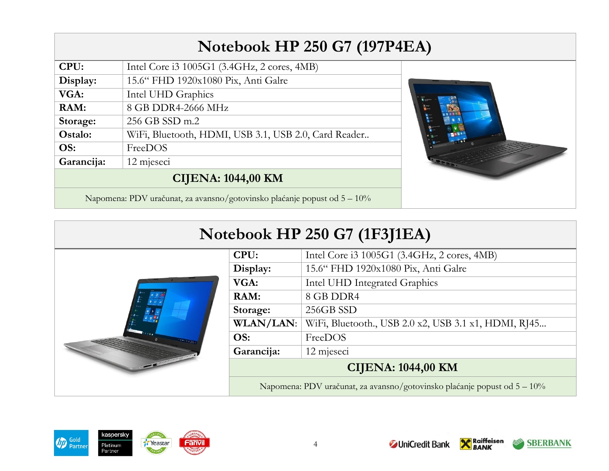## **Notebook HP 250 G7 (197P4EA)**

| Display:                                                                    | Intel Core i3 1005G1 (3.4GHz, 2 cores, 4MB)<br>15.6" FHD 1920x1080 Pix, Anti Galre |
|-----------------------------------------------------------------------------|------------------------------------------------------------------------------------|
| VGA:                                                                        | Intel UHD Graphics                                                                 |
| RAM:                                                                        | 8 GB DDR4-2666 MHz                                                                 |
| Storage:                                                                    | 256 GB SSD m.2                                                                     |
| Ostalo:                                                                     | WiFi, Bluetooth, HDMI, USB 3.1, USB 2.0, Card Reader                               |
| OS:                                                                         | FreeDOS                                                                            |
| Garancija:                                                                  | 12 mjeseci                                                                         |
| <b>CIJENA: 1044,00 KM</b>                                                   |                                                                                    |
| Napomena: PDV uračunat, za avansno/gotovinsko plaćanje popust od $5 - 10\%$ |                                                                                    |



4



|                  | <b>CIJENA: 1044,00 KM</b>                            |
|------------------|------------------------------------------------------|
| Garancija:       | 12 mjeseci                                           |
| OS:              | FreeDOS                                              |
| <b>WLAN/LAN:</b> | WiFi, Bluetooth., USB 2.0 x2, USB 3.1 x1, HDMI, RJ45 |
| Storage:         | 256GB SSD                                            |
| RAM:             | 8 GB DDR4                                            |
| VGA:             | Intel UHD Integrated Graphics                        |
| Display:         | 15.6" FHD 1920x1080 Pix, Anti Galre                  |
| CPU:             | Intel Core i3 1005G1 (3.4GHz, 2 cores, 4MB)          |



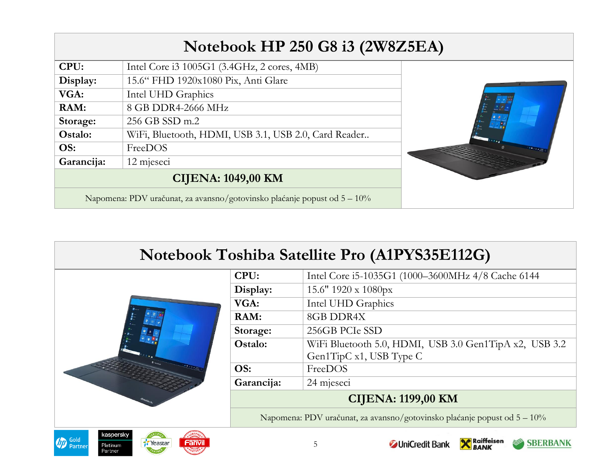|            | Notebook HP 250 G8 i3 (2W8Z5EA)                                             |  |
|------------|-----------------------------------------------------------------------------|--|
| CPU:       | Intel Core i3 1005G1 (3.4GHz, 2 cores, 4MB)                                 |  |
| Display:   | 15.6" FHD 1920x1080 Pix, Anti Glare                                         |  |
| VGA:       | Intel UHD Graphics                                                          |  |
| RAM:       | 8 GB DDR4-2666 MHz                                                          |  |
| Storage:   | 256 GB SSD m.2                                                              |  |
| Ostalo:    | WiFi, Bluetooth, HDMI, USB 3.1, USB 2.0, Card Reader                        |  |
| OS:        | FreeDOS                                                                     |  |
| Garancija: | 12 mjeseci                                                                  |  |
|            | <b>CIJENA: 1049,00 KM</b>                                                   |  |
|            | Napomena: PDV uračunat, za avansno/gotovinsko plaćanje popust od $5 - 10\%$ |  |

| Notebook Toshiba Satellite Pro (A1PYS35E112G)                                                     |            |                                                                             |
|---------------------------------------------------------------------------------------------------|------------|-----------------------------------------------------------------------------|
|                                                                                                   | CPU:       | Intel Core i5-1035G1 (1000-3600MHz 4/8 Cache 6144                           |
|                                                                                                   | Display:   | 15.6" $1920 \times 1080$ px                                                 |
|                                                                                                   | VGA:       | Intel UHD Graphics                                                          |
|                                                                                                   | RAM:       | 8GB DDR4X                                                                   |
|                                                                                                   | Storage:   | 256GB PCIe SSD                                                              |
|                                                                                                   | Ostalo:    | WiFi Bluetooth 5.0, HDMI, USB 3.0 Gen1TipA x2, USB 3.2                      |
|                                                                                                   |            | Gen1TipC x1, USB Type C                                                     |
|                                                                                                   | OS:        | FreeDOS                                                                     |
|                                                                                                   | Garancija: | 24 mjeseci                                                                  |
|                                                                                                   |            | <b>CIJENA: 1199,00 KM</b>                                                   |
|                                                                                                   |            | Napomena: PDV uračunat, za avansno/gotovinsko plaćanje popust od 5 – 10%    |
| kaspersky<br><b>D</b> Gold<br>Partner<br>Fanvil<br><b><i>T</i></b> Yeastar<br>Platinum<br>Partner |            | <b>Raiffeisen</b><br><b>SBERBANK</b><br><b><i>C</i></b> UniCredit Bank<br>5 |

,我们也不能在这里的时候,我们也不能在这里的时候,我们也不能会在这里的时候,我们也不能会在这里的时候,我们也不能会在这里的时候,我们也不能会在这里的时候,我们也不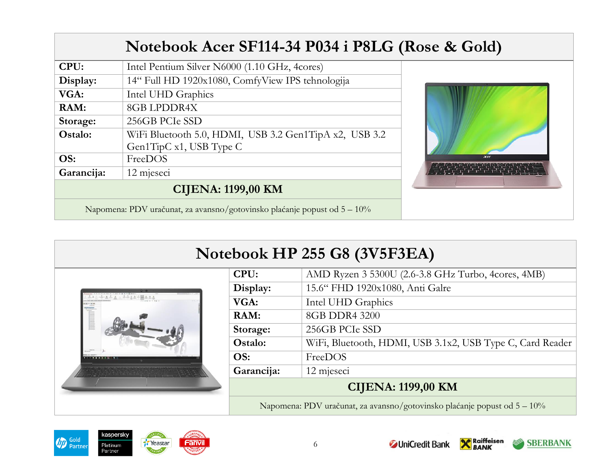|                                                                             | Notebook Acer SF114-34 P034 i P8LG (Rose & Gold)                                  |      |
|-----------------------------------------------------------------------------|-----------------------------------------------------------------------------------|------|
| CPU:                                                                        | Intel Pentium Silver N6000 (1.10 GHz, 4cores)                                     |      |
| Display:                                                                    | 14" Full HD 1920x1080, ComfyView IPS tehnologija                                  |      |
| VGA:                                                                        | Intel UHD Graphics                                                                |      |
| RAM:                                                                        | <b>8GB LPDDR4X</b>                                                                |      |
| Storage:                                                                    | 256GB PCIe SSD                                                                    |      |
| Ostalo:                                                                     | WiFi Bluetooth 5.0, HDMI, USB 3.2 Gen1TipA x2, USB 3.2<br>Gen1TipC x1, USB Type C |      |
| OS:                                                                         | FreeDOS                                                                           | acer |
| Garancija:                                                                  | 12 mjeseci                                                                        |      |
| <b>CIJENA: 1199,00 KM</b>                                                   |                                                                                   |      |
| Napomena: PDV uračunat, za avansno/gotovinsko plaćanje popust od $5 - 10\%$ |                                                                                   |      |

| Notebook HP 255 G8 (3V5F3EA) |  |
|------------------------------|--|
|                              |  |



| CPU:                                                                        | AMD Ryzen 3 5300U (2.6-3.8 GHz Turbo, 4cores, 4MB)        |
|-----------------------------------------------------------------------------|-----------------------------------------------------------|
| Display:                                                                    | 15.6" FHD 1920x1080, Anti Galre                           |
| VGA:                                                                        | Intel UHD Graphics                                        |
| RAM:                                                                        | 8GB DDR4 3200                                             |
| Storage:                                                                    | 256GB PCIe SSD                                            |
| Ostalo:                                                                     | WiFi, Bluetooth, HDMI, USB 3.1x2, USB Type C, Card Reader |
| OS:                                                                         | FreeDOS                                                   |
| Garancija:                                                                  | 12 mjeseci                                                |
| <b>CIJENA: 1199,00 KM</b>                                                   |                                                           |
| Napomena: PDV uračunat, za avansno/gotovinsko plaćanje popust od $5 - 10\%$ |                                                           |



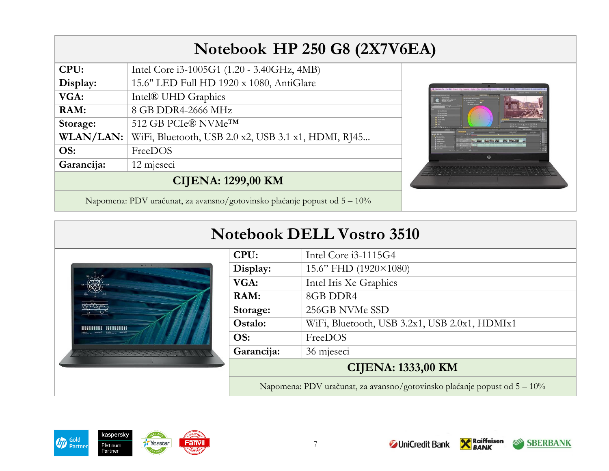# **Notebook HP 250 G8 (2X7V6EA)**

| CPU:                      | Intel Core i3-1005G1 (1.20 - 3.40GHz, 4MB)          |
|---------------------------|-----------------------------------------------------|
| Display:                  | 15.6" LED Full HD 1920 x 1080, AntiGlare            |
| VGA:                      | Intel® UHD Graphics                                 |
| RAM:                      | 8 GB DDR4-2666 MHz                                  |
| Storage:                  | 512 GB PCIe® NVMe <sup>TM</sup>                     |
| <b>WLAN/LAN:</b>          | WiFi, Bluetooth, USB 2.0 x2, USB 3.1 x1, HDMI, RJ45 |
| OS:                       | FreeDOS                                             |
| Garancija:                | 12 mjeseci                                          |
| <b>CIJENA: 1299,00 KM</b> |                                                     |
|                           |                                                     |



Napomena: PDV uračunat, za avansno/gotovinsko plaćanje popust od 5 – 10%

#### **Notebook DELL Vostro 3510**



| CPU:                      | Intel Core i3-1115G4                          |
|---------------------------|-----------------------------------------------|
| Display:                  | 15.6" FHD (1920×1080)                         |
| VGA:                      | Intel Iris Xe Graphics                        |
| RAM:                      | 8GB DDR4                                      |
| Storage:                  | 256GB NVMe SSD                                |
| Ostalo:                   | WiFi, Bluetooth, USB 3.2x1, USB 2.0x1, HDMIx1 |
| OS:                       | FreeDOS                                       |
| Garancija:                | 36 mjeseci                                    |
| <b>CIJENA: 1333,00 KM</b> |                                               |

Napomena: PDV uračunat, za avansno/gotovinsko plaćanje popust od 5 – 10%





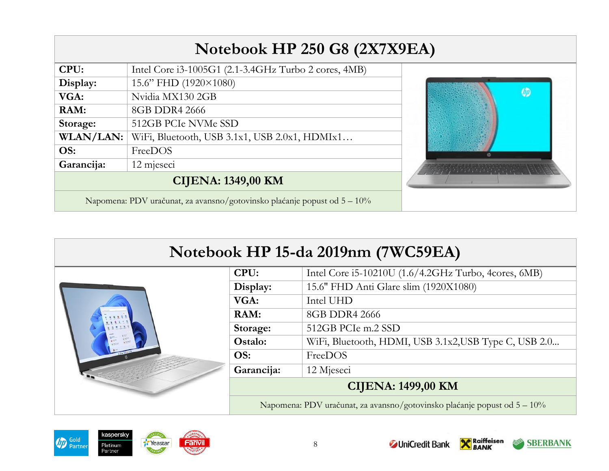| Notebook HP 250 G8 (2X7X9EA)                                                |                                                      |           |
|-----------------------------------------------------------------------------|------------------------------------------------------|-----------|
| CPU:                                                                        | Intel Core i3-1005G1 (2.1-3.4GHz Turbo 2 cores, 4MB) |           |
| Display:                                                                    | 15.6" FHD (1920×1080)                                |           |
| VGA:                                                                        | Nvidia MX130 2GB                                     | <b>OD</b> |
| RAM:                                                                        | 8GB DDR4 2666                                        |           |
| Storage:                                                                    | 512GB PCIe NVMe SSD                                  |           |
| WLAN/LAN:                                                                   | WiFi, Bluetooth, USB 3.1x1, USB 2.0x1, HDMIx1        |           |
| OS:                                                                         | FreeDOS                                              |           |
| Garancija:                                                                  | 12 mjeseci                                           |           |
| <b>CIJENA: 1349,00 KM</b>                                                   |                                                      |           |
| Napomena: PDV uračunat, za avansno/gotovinsko plaćanje popust od $5 - 10\%$ |                                                      |           |





| CPU:                                                                     | Intel Core i5-10210U (1.6/4.2GHz Turbo, 4cores, 6MB)  |  |
|--------------------------------------------------------------------------|-------------------------------------------------------|--|
| Display:                                                                 | 15.6" FHD Anti Glare slim (1920X1080)                 |  |
| VGA:                                                                     | Intel UHD                                             |  |
| RAM:                                                                     | 8GB DDR4 2666                                         |  |
| Storage:                                                                 | 512GB PCIe m.2 SSD                                    |  |
| Ostalo:                                                                  | WiFi, Bluetooth, HDMI, USB 3.1x2, USB Type C, USB 2.0 |  |
| OS:                                                                      | FreeDOS                                               |  |
| Garancija:                                                               | 12 Mjeseci                                            |  |
| <b>CIJENA: 1499,00 KM</b>                                                |                                                       |  |
| Napomena: PDV uračunat, za avansno/gotovinsko plaćanje popust od 5 – 10% |                                                       |  |



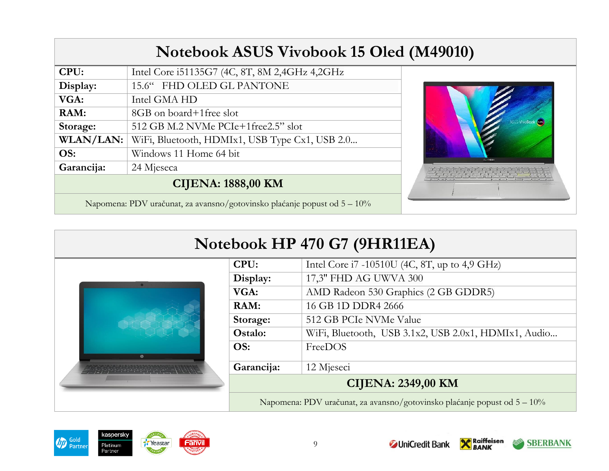| <b>Notebook ASUS Vivobook 15 Oled (M49010)</b>                              |                                                |                    |
|-----------------------------------------------------------------------------|------------------------------------------------|--------------------|
| CPU:                                                                        | Intel Core i51135G7 (4C, 8T, 8M 2,4GHz 4,2GHz  |                    |
| Display:                                                                    | 15.6" FHD OLED GL PANTONE                      |                    |
| VGA:                                                                        | Intel GMA HD                                   |                    |
| RAM:                                                                        | 8GB on board+1 free slot                       |                    |
| Storage:                                                                    | 512 GB M.2 NVMe PCIe+1free2.5" slot            | ASUS VivoBook (OP) |
| WLAN/LAN:                                                                   | WiFi, Bluetooth, HDMIx1, USB Type Cx1, USB 2.0 |                    |
| OS:                                                                         | Windows 11 Home 64 bit                         | 20 Vindoo          |
| Garancija:                                                                  | 24 Mjeseca                                     |                    |
| <b>CIJENA: 1888,00 KM</b>                                                   |                                                |                    |
| Napomena: PDV uračunat, za avansno/gotovinsko plaćanje popust od $5 - 10\%$ |                                                |                    |

| Notebook HP 470 G7 (9HR11EA) |                                                       |                                                                          |
|------------------------------|-------------------------------------------------------|--------------------------------------------------------------------------|
|                              | Intel Core i7 -10510U (4C, 8T, up to 4,9 GHz)<br>CPU: |                                                                          |
|                              | Display:                                              | 17,3" FHD AG UWVA 300                                                    |
|                              | VGA:                                                  | AMD Radeon 530 Graphics (2 GB GDDR5)                                     |
|                              | RAM:                                                  | 16 GB 1D DDR4 2666                                                       |
|                              | Storage:                                              | 512 GB PCIe NVMe Value                                                   |
|                              | Ostalo:                                               | WiFi, Bluetooth, USB 3.1x2, USB 2.0x1, HDMIx1, Audio                     |
| $^{(5)}$                     | OS:                                                   | FreeDOS                                                                  |
|                              | Garancija:                                            | 12 Mjeseci                                                               |
|                              |                                                       | <b>CIJENA: 2349,00 KM</b>                                                |
|                              |                                                       | Napomena: PDV uračunat, za avansno/gotovinsko plaćanje popust od 5 - 10% |